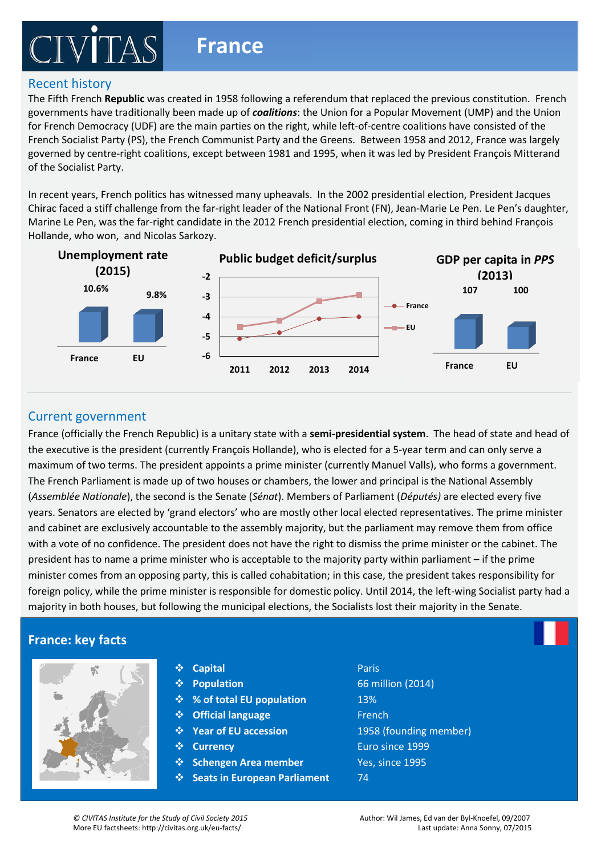# **France**

### Recent history

The Fifth French **Republic** was created in 1958 following a referendum that replaced the previous constitution. French governments have traditionally been made up of *coalitions*: the Union for a Popular Movement (UMP) and the Union for French Democracy (UDF) are the main parties on the right, while left-of-centre coalitions have consisted of the French Socialist Party (PS), the French Communist Party and the Greens. Between 1958 and 2012, France was largely governed by centre-right coalitions, except between 1981 and 1995, when it was led by President François Mitterand of the Socialist Party.

In recent years, French politics has witnessed many upheavals. In the 2002 presidential election, President Jacques Chirac faced a stiff challenge from the far-right leader of the National Front (FN), Jean-Marie Le Pen. Le Pen's daughter, Marine Le Pen, was the far-right candidate in the 2012 French presidential election, coming in third behind François Hollande, who won, and Nicolas Sarkozy.



#### Current government

France (officially the French Republic) is a unitary state with a **semi-presidential system**. The head of state and head of the executive is the president (currently François Hollande), who is elected for a 5-year term and can only serve a<br> maximum of two terms. The president appoints a prime minister (currently Manuel Valls), who forms a government. The French Parliament is made up of two houses or chambers, the lower and principal is the National Assembly (Assemblée Nationale), the second is the Senate (*Sénat*). Members of Parliament (*Députés*) are elected every five and cabinet are exclusively accountable to the assembly majority, but the parliament may remove them from office with a vote of no confidence. The president does not have the right to dismiss the prime minister or the cabinet. The years. Senators are elected by 'grand electors' who are mostly other local elected representatives. The prime minister president has to name a prime minister who is acceptable to the majority party within parliament – if the prime minister comes from an opposing party, this is called cohabitation; in this case, the president takes responsibility for foreign policy, while the prime minister is responsible for domestic policy. Until 2014, the left-wing Socialist party had a majority in both houses, but following the municipal elections, the Socialists lost their majority in the Senate.

### **France: key facts**



| ❖ Capital | Paris |
|-----------|-------|
|           |       |

- 
- 
- 
- 
- $\mathbf{\hat{y}}$  Currencv
- **Schengen Area member** Yes, since 1995
- **clear winner, there is a hung Parliament** *b* **a minority of coalition government of the coalition government of coalition government of the coalition government of the coalition government of the coalition government of**

post electronal system. Each of the 650 voting constituencies in the Green constituencies in the UK are represented by the UK are represented by the UK are represented by the UK are represented by the UK are represented by an MP. During the general and most local elections, the candidate with most of the votes **Population** 66 million (2014) becomes the local representative. Candidates campaign door-to-door, hold debates and **% of total EU population** 13% **Publish manifestos (comparable to shopping list of what they are planning to do once they are planning to do on**<br> **A Cofficial language French they are in power and Condition 1958** (founding member). The UK Condition of the UK once the UK (founding member) Party with most of the votes is invited by the votes is investigated by the corresponding to form a government. If there is no contract to form a government. If the votes is not the votes in the votes in the votes in the v Euro since 1999

Members of Parliament in the House of Commons are elected using the first-past-the-

can be formed. A minority government does not have an overall majority in Parliament. A